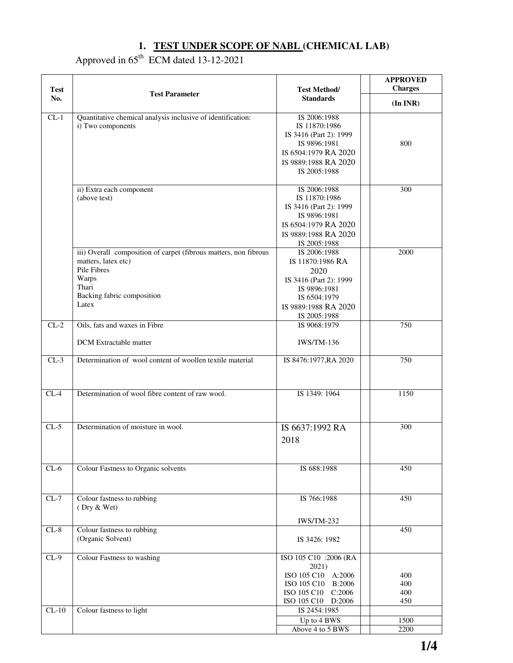#### **1. TEST UNDER SCOPE OF NABL (CHEMICAL LAB)**

### Approved in  $65<sup>th</sup>$  ECM dated 13-12-2021

| <b>Test</b> | <b>Test Parameter</b>                                                                                                                                           | <b>Test Method/</b><br><b>Standards</b>                                                                                                    | <b>APPROVED</b><br><b>Charges</b> |
|-------------|-----------------------------------------------------------------------------------------------------------------------------------------------------------------|--------------------------------------------------------------------------------------------------------------------------------------------|-----------------------------------|
| No.         |                                                                                                                                                                 |                                                                                                                                            | (In INR)                          |
| $CL-1$      | Quantitative chemical analysis inclusive of identification:<br>i) Two components                                                                                | IS 2006:1988<br>IS 11870:1986<br>IS 3416 (Part 2): 1999<br>IS 9896:1981<br>IS 6504:1979 RA 2020<br>IS 9889:1988 RA 2020<br>IS 2005:1988    | 800                               |
|             | ii) Extra each component<br>(above test)                                                                                                                        | IS 2006:1988<br>IS 11870:1986<br>IS 3416 (Part 2): 1999<br>IS 9896:1981<br>IS 6504:1979 RA 2020<br>IS 9889:1988 RA 2020<br>IS 2005:1988    | 300                               |
|             | iii) Overall composition of carpet (fibrous matters, non fibrous<br>matters, latex etc)<br>Pile Fibres<br>Warps<br>Thari<br>Backing fabric composition<br>Latex | IS 2006:1988<br>IS 11870:1986 RA<br>2020<br>IS 3416 (Part 2): 1999<br>IS 9896:1981<br>IS 6504:1979<br>IS 9889:1988 RA 2020<br>IS 2005:1988 | 2000                              |
| $CL-2$      | Oils, fats and waxes in Fibre                                                                                                                                   | IS 9068:1979                                                                                                                               | 750                               |
|             | <b>DCM</b> Extractable matter                                                                                                                                   | <b>IWS/TM-136</b>                                                                                                                          |                                   |
| $CL-3$      | Determination of wool content of woollen textile material                                                                                                       | IS 8476:1977, RA 2020                                                                                                                      | 750                               |
| $CL-4$      | Determination of wool fibre content of raw wool.                                                                                                                | IS 1349: 1964                                                                                                                              | 1150                              |
| $CL-5$      | Determination of moisture in wool.                                                                                                                              | IS 6637:1992 RA<br>2018                                                                                                                    | 300                               |
| $CL-6$      | Colour Fastness to Organic solvents                                                                                                                             | IS 688:1988                                                                                                                                | 450                               |
| $CL-7$      | Colour fastness to rubbing<br>(Dry & Wet)                                                                                                                       | IS 766:1988<br><b>IWS/TM-232</b>                                                                                                           | 450                               |
| $CL-8$      | Colour fastness to rubbing<br>(Organic Solvent)                                                                                                                 | IS 3426: 1982                                                                                                                              | 450                               |
| $CL-9$      | <b>Colour Fastness to washing</b>                                                                                                                               | ISO 105 C10 :2006 (RA<br>2021)<br>ISO 105 C10 A:2006<br>ISO 105 C10 B:2006<br>ISO 105 C10 C:2006<br>ISO 105 C10 D:2006                     | 400<br>400<br>400<br>450          |
| $CL-10$     | Colour fastness to light                                                                                                                                        | IS 2454:1985                                                                                                                               |                                   |
|             |                                                                                                                                                                 | Up to 4 BWS<br>Above 4 to 5 BWS                                                                                                            | 1500<br>2200                      |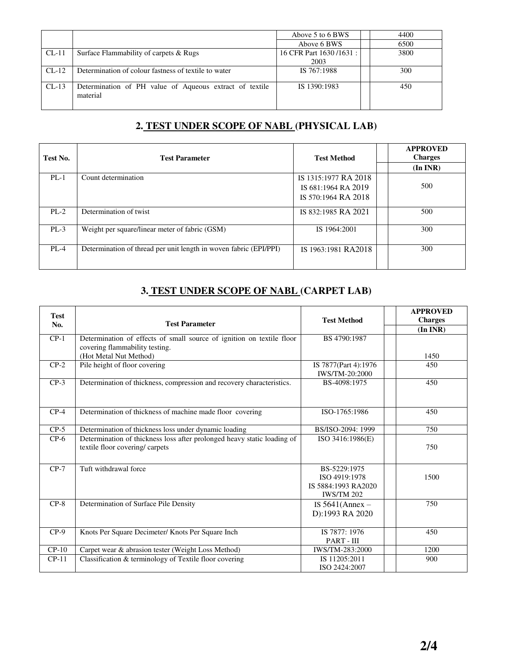|         |                                                                     | Above 5 to 6 BWS        | 4400 |
|---------|---------------------------------------------------------------------|-------------------------|------|
|         |                                                                     | Above 6 BWS             | 6500 |
| $CL-11$ | Surface Flammability of carpets & Rugs                              | 16 CFR Part 1630/1631 : | 3800 |
|         |                                                                     | 2003                    |      |
| $CL-12$ | Determination of colour fastness of textile to water                | IS 767:1988             | 300  |
| $CL-13$ | Determination of PH value of Aqueous extract of textile<br>material | IS 1390:1983            | 450  |

## **2. TEST UNDER SCOPE OF NABL (PHYSICAL LAB)**

| Test No. | <b>Test Parameter</b>                                             | <b>Test Method</b>                          | <b>APPROVED</b><br><b>Charges</b> |
|----------|-------------------------------------------------------------------|---------------------------------------------|-----------------------------------|
|          |                                                                   |                                             | (In INR)                          |
| $PL-1$   | Count determination                                               | IS 1315:1977 RA 2018<br>IS 681:1964 RA 2019 | 500                               |
|          |                                                                   | IS 570:1964 RA 2018                         |                                   |
| $PL-2$   | Determination of twist                                            | IS 832:1985 RA 2021                         | 500                               |
| $PL-3$   | Weight per square/linear meter of fabric (GSM)                    | IS 1964:2001                                | 300                               |
| $PL-4$   | Determination of thread per unit length in woven fabric (EPI/PPI) | IS 1963:1981 RA2018                         | 300                               |

# **3. TEST UNDER SCOPE OF NABL (CARPET LAB)**

| <b>Test</b> |                                                                                                           | <b>Test Method</b>                                                        | <b>APPROVED</b><br><b>Charges</b> |
|-------------|-----------------------------------------------------------------------------------------------------------|---------------------------------------------------------------------------|-----------------------------------|
| No.         | <b>Test Parameter</b>                                                                                     |                                                                           | (In INR)                          |
| $CP-1$      | Determination of effects of small source of ignition on textile floor                                     | BS 4790:1987                                                              |                                   |
|             | covering flammability testing.                                                                            |                                                                           |                                   |
|             | (Hot Metal Nut Method)                                                                                    |                                                                           | 1450                              |
| $CP-2$      | Pile height of floor covering                                                                             | IS 7877(Part 4):1976                                                      | 450                               |
|             |                                                                                                           | IWS/TM-20:2000                                                            |                                   |
| $CP-3$      | Determination of thickness, compression and recovery characteristics.                                     | BS-4098:1975                                                              | 450                               |
| $CP-4$      | Determination of thickness of machine made floor covering                                                 | ISO-1765:1986                                                             | 450                               |
| $CP-5$      | Determination of thickness loss under dynamic loading                                                     | BS/ISO-2094: 1999                                                         | 750                               |
| $CP-6$      | Determination of thickness loss after prolonged heavy static loading of<br>textile floor covering/carpets | ISO 3416:1986(E)                                                          | 750                               |
| $CP-7$      | Tuft withdrawal force                                                                                     | BS-5229:1975<br>ISO 4919:1978<br>IS 5884:1993 RA2020<br><b>IWS/TM 202</b> | 1500                              |
| $CP-8$      | Determination of Surface Pile Density                                                                     | IS $5641$ (Annex –<br>D):1993 RA 2020                                     | 750                               |
| $CP-9$      | Knots Per Square Decimeter/ Knots Per Square Inch                                                         | IS 7877: 1976<br>PART - III                                               | 450                               |
| $CP-10$     | Carpet wear & abrasion tester (Weight Loss Method)                                                        | IWS/TM-283:2000                                                           | 1200                              |
| $CP-11$     | Classification & terminology of Textile floor covering                                                    | IS 11205:2011<br>ISO 2424:2007                                            | 900                               |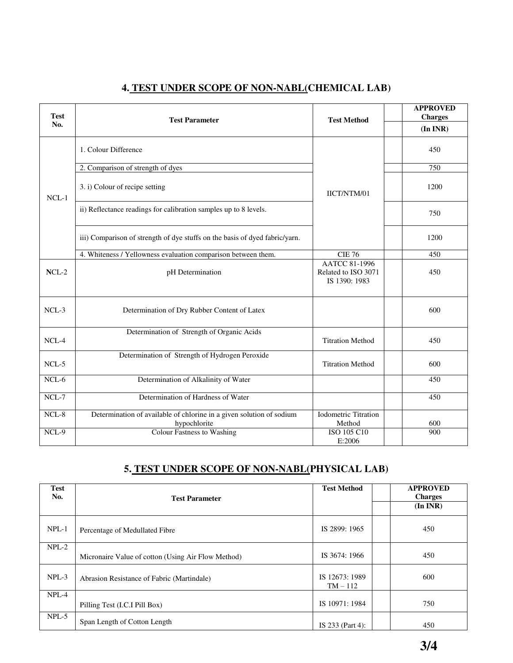| <b>Test</b><br>No. | <b>Test Parameter</b>                                                                | <b>Test Method</b>                                           | <b>APPROVED</b><br><b>Charges</b> |
|--------------------|--------------------------------------------------------------------------------------|--------------------------------------------------------------|-----------------------------------|
|                    |                                                                                      |                                                              | (In INR)                          |
| $NCL-1$            | 1. Colour Difference                                                                 |                                                              | 450                               |
|                    | 2. Comparison of strength of dyes                                                    |                                                              | 750                               |
|                    | 3. i) Colour of recipe setting                                                       | IICT/NTM/01                                                  | 1200                              |
|                    | ii) Reflectance readings for calibration samples up to 8 levels.                     |                                                              | 750                               |
|                    | iii) Comparison of strength of dye stuffs on the basis of dyed fabric/yarn.          |                                                              | 1200                              |
|                    | 4. Whiteness / Yellowness evaluation comparison between them.                        | <b>CIE 76</b>                                                | 450                               |
| $NCL-2$            | pH Determination                                                                     | <b>AATCC 81-1996</b><br>Related to ISO 3071<br>IS 1390: 1983 | 450                               |
| $NCL-3$            | Determination of Dry Rubber Content of Latex                                         |                                                              | 600                               |
| $NCL-4$            | Determination of Strength of Organic Acids                                           | <b>Titration Method</b>                                      | 450                               |
| NCL-5              | Determination of Strength of Hydrogen Peroxide                                       | <b>Titration Method</b>                                      | 600                               |
| $NCL-6$            | Determination of Alkalinity of Water                                                 |                                                              | 450                               |
| $NCL-7$            | Determination of Hardness of Water                                                   |                                                              | 450                               |
| $NCL-8$            | Determination of available of chlorine in a given solution of sodium<br>hypochlorite | <b>Iodometric Titration</b><br>Method                        | 600                               |
| NCL-9              | <b>Colour Fastness to Washing</b>                                                    | ISO 105 C10<br>E:2006                                        | 900                               |

### **4. TEST UNDER SCOPE OF NON-NABL(CHEMICAL LAB)**

## **5. TEST UNDER SCOPE OF NON-NABL(PHYSICAL LAB)**

| <b>Test</b><br>No. | <b>Test Parameter</b>                              | <b>Test Method</b>         | <b>APPROVED</b><br><b>Charges</b><br>$(In\,INR)$ |
|--------------------|----------------------------------------------------|----------------------------|--------------------------------------------------|
| $NPL-1$            | Percentage of Medullated Fibre                     | IS 2899: 1965              | 450                                              |
| $NPL-2$            | Micronaire Value of cotton (Using Air Flow Method) | IS 3674: 1966              | 450                                              |
| $NPL-3$            | Abrasion Resistance of Fabric (Martindale)         | IS 12673: 1989<br>$TM-112$ | 600                                              |
| NPL-4              | Pilling Test (I.C.I Pill Box)                      | IS 10971: 1984             | 750                                              |
| $NPL-5$            | Span Length of Cotton Length                       | IS 233 (Part 4):           | 450                                              |